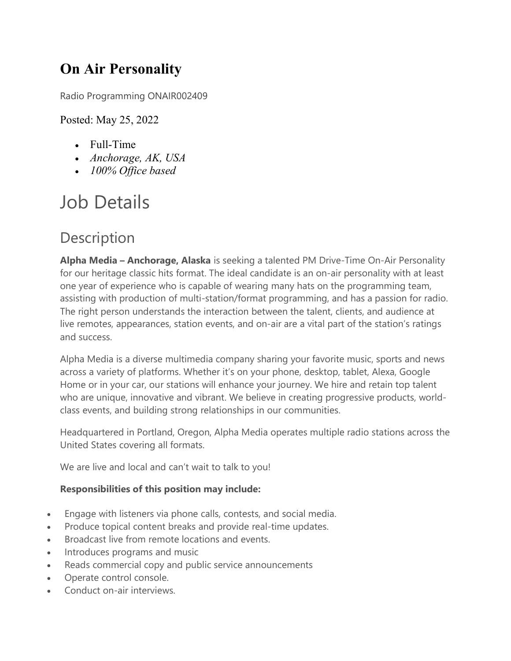### On Air Personality

Radio Programming ONAIR002409

### Posted: May 25, 2022

- Full-Time
- Anchorage, AK, USA
- 100% Office based

# Job Details

## **Description**

Alpha Media – Anchorage, Alaska is seeking a talented PM Drive-Time On-Air Personality for our heritage classic hits format. The ideal candidate is an on-air personality with at least one year of experience who is capable of wearing many hats on the programming team, assisting with production of multi-station/format programming, and has a passion for radio. The right person understands the interaction between the talent, clients, and audience at live remotes, appearances, station events, and on-air are a vital part of the station's ratings and success.

Alpha Media is a diverse multimedia company sharing your favorite music, sports and news across a variety of platforms. Whether it's on your phone, desktop, tablet, Alexa, Google Home or in your car, our stations will enhance your journey. We hire and retain top talent who are unique, innovative and vibrant. We believe in creating progressive products, worldclass events, and building strong relationships in our communities.

Headquartered in Portland, Oregon, Alpha Media operates multiple radio stations across the United States covering all formats.

We are live and local and can't wait to talk to you!

#### Responsibilities of this position may include:

- Engage with listeners via phone calls, contests, and social media.
- Produce topical content breaks and provide real-time updates.
- Broadcast live from remote locations and events.
- Introduces programs and music
- Reads commercial copy and public service announcements
- Operate control console.
- Conduct on-air interviews.